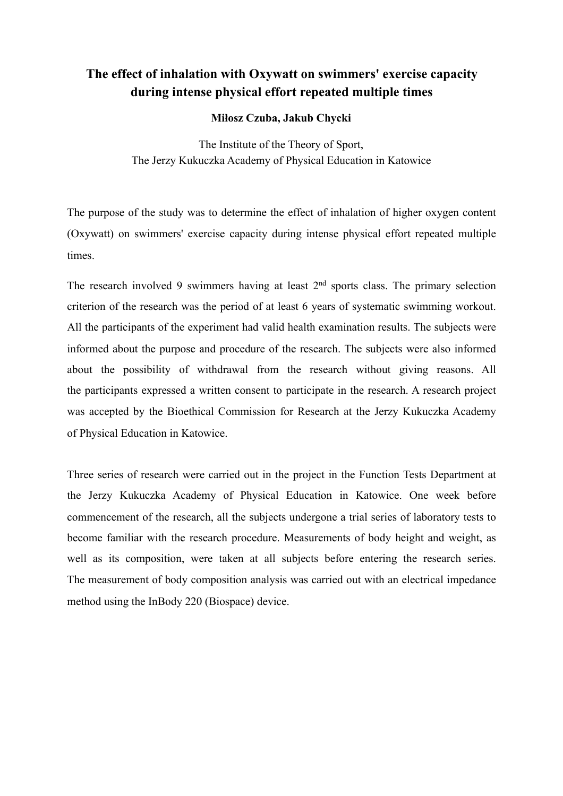# **The effect of inhalation with Oxywatt on swimmers' exercise capacity during intense physical effort repeated multiple times**

#### **Miłosz Czuba, Jakub Chycki**

The Institute of the Theory of Sport, The Jerzy Kukuczka Academy of Physical Education in Katowice

The purpose of the study was to determine the effect of inhalation of higher oxygen content (Oxywatt) on swimmers' exercise capacity during intense physical effort repeated multiple times.

The research involved 9 swimmers having at least  $2<sup>nd</sup>$  sports class. The primary selection criterion of the research was the period of at least 6 years of systematic swimming workout. All the participants of the experiment had valid health examination results. The subjects were informed about the purpose and procedure of the research. The subjects were also informed about the possibility of withdrawal from the research without giving reasons. All the participants expressed a written consent to participate in the research. A research project was accepted by the Bioethical Commission for Research at the Jerzy Kukuczka Academy of Physical Education in Katowice.

Three series of research were carried out in the project in the Function Tests Department at the Jerzy Kukuczka Academy of Physical Education in Katowice. One week before commencement of the research, all the subjects undergone a trial series of laboratory tests to become familiar with the research procedure. Measurements of body height and weight, as well as its composition, were taken at all subjects before entering the research series. The measurement of body composition analysis was carried out with an electrical impedance method using the InBody 220 (Biospace) device.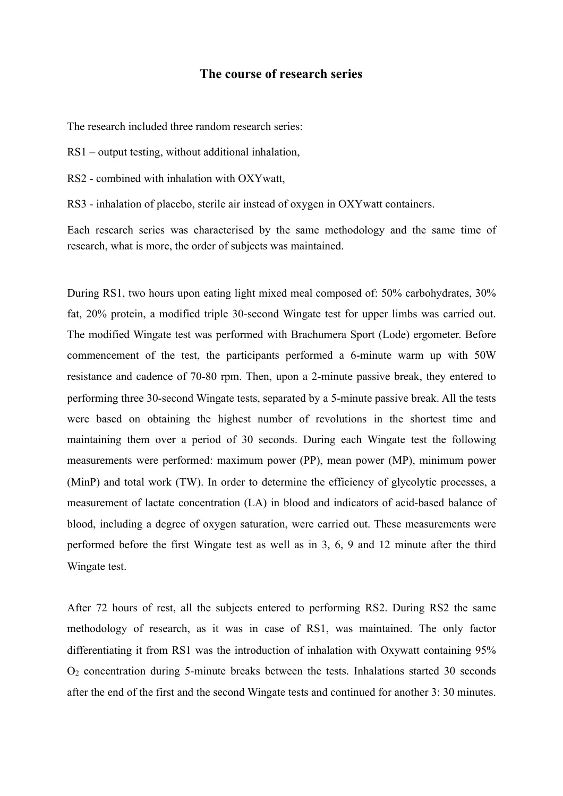#### **The course of research series**

The research included three random research series:

RS1 – output testing, without additional inhalation,

RS2 - combined with inhalation with OXYwatt

RS3 - inhalation of placebo, sterile air instead of oxygen in OXYwatt containers.

Each research series was characterised by the same methodology and the same time of research, what is more, the order of subjects was maintained.

During RS1, two hours upon eating light mixed meal composed of: 50% carbohydrates, 30% fat, 20% protein, a modified triple 30-second Wingate test for upper limbs was carried out. The modified Wingate test was performed with Brachumera Sport (Lode) ergometer. Before commencement of the test, the participants performed a 6-minute warm up with 50W resistance and cadence of 70-80 rpm. Then, upon a 2-minute passive break, they entered to performing three 30-second Wingate tests, separated by a 5-minute passive break. All the tests were based on obtaining the highest number of revolutions in the shortest time and maintaining them over a period of 30 seconds. During each Wingate test the following measurements were performed: maximum power (PP), mean power (MP), minimum power (MinP) and total work (TW). In order to determine the efficiency of glycolytic processes, a measurement of lactate concentration (LA) in blood and indicators of acid-based balance of blood, including a degree of oxygen saturation, were carried out. These measurements were performed before the first Wingate test as well as in 3, 6, 9 and 12 minute after the third Wingate test.

After 72 hours of rest, all the subjects entered to performing RS2. During RS2 the same methodology of research, as it was in case of RS1, was maintained. The only factor differentiating it from RS1 was the introduction of inhalation with Oxywatt containing 95% O2 concentration during 5-minute breaks between the tests. Inhalations started 30 seconds after the end of the first and the second Wingate tests and continued for another 3: 30 minutes.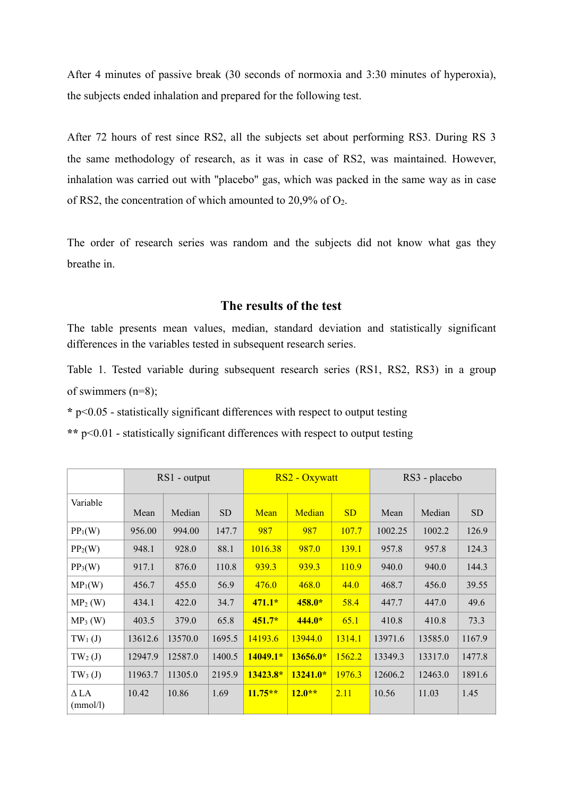After 4 minutes of passive break (30 seconds of normoxia and 3:30 minutes of hyperoxia), the subjects ended inhalation and prepared for the following test.

After 72 hours of rest since RS2, all the subjects set about performing RS3. During RS 3 the same methodology of research, as it was in case of RS2, was maintained. However, inhalation was carried out with "placebo" gas, which was packed in the same way as in case of RS2, the concentration of which amounted to 20,9% of O2.

The order of research series was random and the subjects did not know what gas they breathe in.

### **The results of the test**

The table presents mean values, median, standard deviation and statistically significant differences in the variables tested in subsequent research series.

Table 1. Tested variable during subsequent research series (RS1, RS2, RS3) in a group of swimmers (n=8);

**\*** p<0.05 - statistically significant differences with respect to output testing

**\*\*** p<0.01 - statistically significant differences with respect to output testing

|                         | $RS1$ - output |         |           | RS2 - Oxywatt |            |        | RS3 - placebo |         |           |
|-------------------------|----------------|---------|-----------|---------------|------------|--------|---------------|---------|-----------|
| Variable                | Mean           | Median  | <b>SD</b> | Mean          | Median     | SD     | Mean          | Median  | <b>SD</b> |
| $PP_1(W)$               | 956.00         | 994.00  | 147.7     | 987           | 987        | 107.7  | 1002.25       | 1002.2  | 126.9     |
| $PP_2(W)$               | 948.1          | 928.0   | 88.1      | 1016.38       | 987.0      | 139.1  | 957.8         | 957.8   | 124.3     |
| $PP_3(W)$               | 917.1          | 876.0   | 110.8     | 939.3         | 939.3      | 110.9  | 940.0         | 940.0   | 144.3     |
| $MP_1(W)$               | 456.7          | 455.0   | 56.9      | 476.0         | 468.0      | 44.0   | 468.7         | 456.0   | 39.55     |
| $MP_2(W)$               | 434.1          | 422.0   | 34.7      | $471.1*$      | $458.0*$   | 58.4   | 447.7         | 447.0   | 49.6      |
| $MP_3(W)$               | 403.5          | 379.0   | 65.8      | $451.7*$      | $444.0*$   | 65.1   | 410.8         | 410.8   | 73.3      |
| $TW_1(J)$               | 13612.6        | 13570.0 | 1695.5    | 14193.6       | 13944.0    | 1314.1 | 13971.6       | 13585.0 | 1167.9    |
| $TW_2(J)$               | 12947.9        | 12587.0 | 1400.5    | $14049.1*$    | $13656.0*$ | 1562.2 | 13349.3       | 13317.0 | 1477.8    |
| $TW_3(J)$               | 11963.7        | 11305.0 | 2195.9    | 13423.8*      | $13241.0*$ | 1976.3 | 12606.2       | 12463.0 | 1891.6    |
| $\Delta$ LA<br>(mmol/l) | 10.42          | 10.86   | 1.69      | $11.75**$     | $12.0**$   | 2.11   | 10.56         | 11.03   | 1.45      |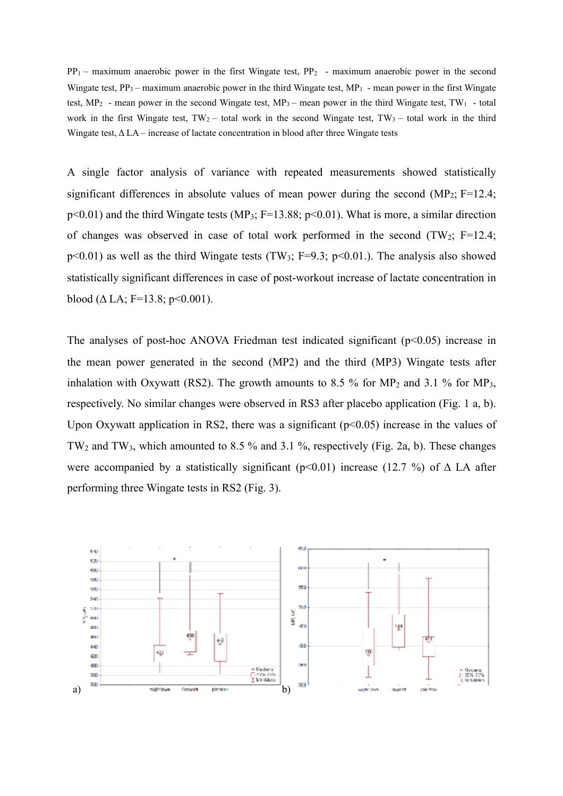$PP_1$  – maximum anaerobic power in the first Wingate test,  $PP_2$  – maximum anaerobic power in the second Wingate test,  $PP_3$  – maximum anaerobic power in the third Wingate test,  $MP_1$  - mean power in the first Wingate test, MP<sub>2</sub> - mean power in the second Wingate test, MP<sub>3</sub> – mean power in the third Wingate test, TW<sub>1</sub> - total work in the first Wingate test,  $TW_2$  – total work in the second Wingate test,  $TW_3$  – total work in the third Wingate test,  $\Delta$  LA – increase of lactate concentration in blood after three Wingate tests

A single factor analysis of variance with repeated measurements showed statistically significant differences in absolute values of mean power during the second  $(MP_2; F=12.4;$  $p<0.01$ ) and the third Wingate tests (MP<sub>3</sub>; F=13.88;  $p<0.01$ ). What is more, a similar direction of changes was observed in case of total work performed in the second  $(TW_2; F=12.4;$  $p<0.01$ ) as well as the third Wingate tests (TW<sub>3</sub>; F=9.3;  $p<0.01$ .). The analysis also showed statistically significant differences in case of post-workout increase of lactate concentration in blood ( $\Delta$  LA; F=13.8; p<0.001).

The analyses of post-hoc ANOVA Friedman test indicated significant  $(p<0.05)$  increase in the mean power generated in the second (MP2) and the third (MP3) Wingate tests after inhalation with Oxywatt (RS2). The growth amounts to 8.5 % for MP<sub>2</sub> and 3.1 % for MP<sub>3</sub>, respectively. No similar changes were observed in RS3 after placebo application (Fig. 1 a, b). Upon Oxywatt application in RS2, there was a significant  $(p<0.05)$  increase in the values of TW2 and TW3, which amounted to 8.5 % and 3.1 %, respectively (Fig. 2a, b). These changes were accompanied by a statistically significant ( $p$ <0.01) increase (12.7 %) of  $\Delta$  LA after performing three Wingate tests in RS2 (Fig. 3).

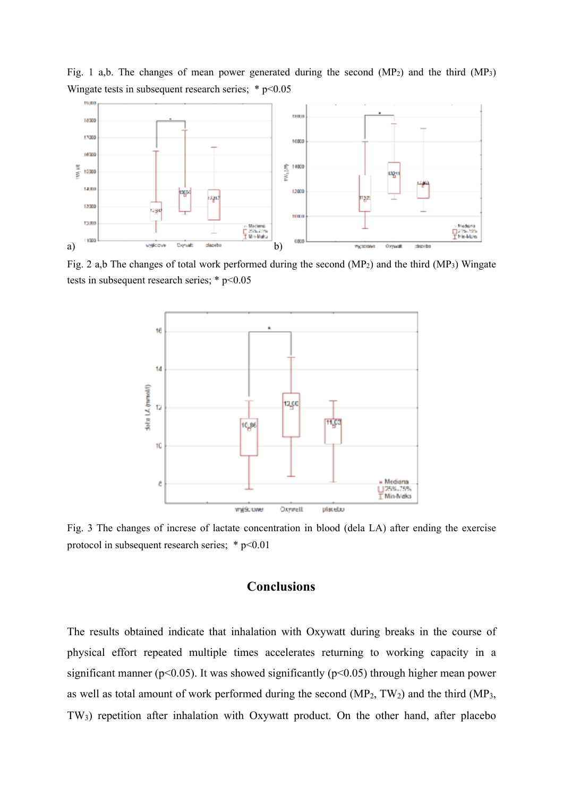

Fig. 1 a,b. The changes of mean power generated during the second  $(MP<sub>2</sub>)$  and the third  $(MP<sub>3</sub>)$ Wingate tests in subsequent research series;  $*$  p<0.05

Fig. 2 a,b The changes of total work performed during the second  $(MP_2)$  and the third  $(MP_3)$  Wingate tests in subsequent research series;  $*$  p<0.05



Fig. 3 The changes of increse of lactate concentration in blood (dela LA) after ending the exercise protocol in subsequent research series; \* p<0.01

## **Conclusions**

The results obtained indicate that inhalation with Oxywatt during breaks in the course of physical effort repeated multiple times accelerates returning to working capacity in a significant manner ( $p<0.05$ ). It was showed significantly ( $p<0.05$ ) through higher mean power as well as total amount of work performed during the second  $(MP_2, TW_2)$  and the third  $(MP_3, TW_2)$ TW3) repetition after inhalation with Oxywatt product. On the other hand, after placebo